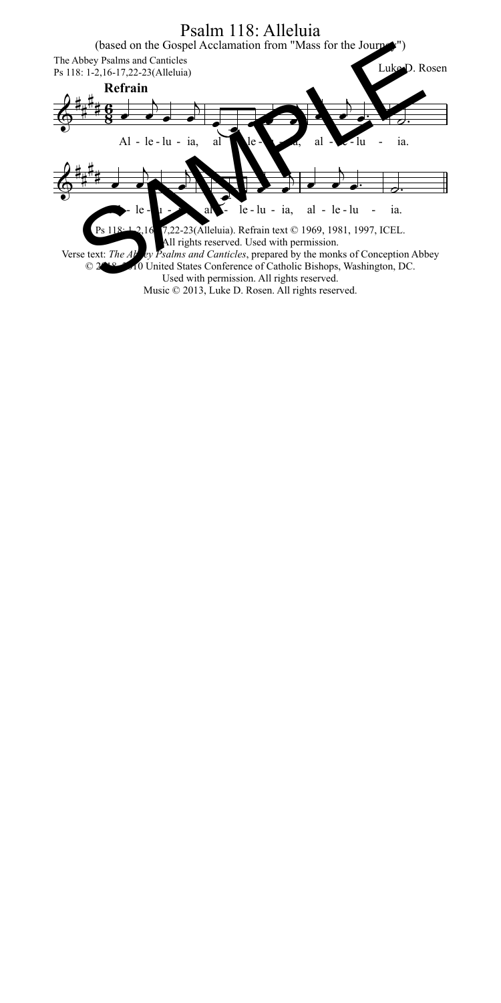